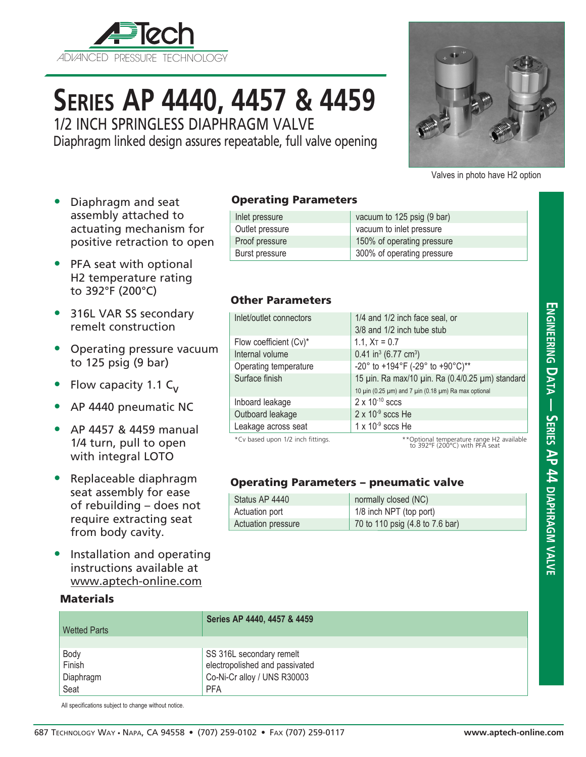

# **Series AP 4440, 4457 & 4459**

1/2 INCH SPRINGLESS DIAPHRAGM VALVE

Diaphragm linked design assures repeatable, full valve opening



Valves in photo have H2 option

**Engineering D**

**a t**

**a — Series AP 44** 

DIAP<br>无

**agm**

**v alve**

- Diaphragm and seat assembly attached to actuating mechanism for positive retraction to open
- PFA seat with optional H2 temperature rating to 392°F (200°C)
- 316L VAR SS secondary remelt construction
- Operating pressure vacuum to 125 psig (9 bar)
- Flow capacity 1.1  $C_v$
- AP 4440 pneumatic NC
- AP 4457 & 4459 manual 1/4 turn, pull to open with integral LOTO
- Replaceable diaphragm seat assembly for ease of rebuilding – does not require extracting seat from body cavity.
- Installation and operating instructions available at www.aptech-online.com

#### **Materials**

| <b>Operating Parameters</b> |
|-----------------------------|

| Inlet pressure  | vacuum to 125 psig (9 bar) |
|-----------------|----------------------------|
| Outlet pressure | vacuum to inlet pressure   |
| Proof pressure  | 150% of operating pressure |
| Burst pressure  | 300% of operating pressure |

#### Other Parameters

| Inlet/outlet connectors          | 1/4 and 1/2 inch face seal, or                       |
|----------------------------------|------------------------------------------------------|
|                                  | 3/8 and 1/2 inch tube stub                           |
| Flow coefficient (Cv)*           | 1.1, $X_T = 0.7$                                     |
| Internal volume                  | $0.41$ in <sup>3</sup> (6.77 cm <sup>3</sup> )       |
| Operating temperature            | -20° to +194°F (-29° to +90°C)**                     |
| Surface finish                   | 15 µin. Ra max/10 µin. Ra (0.4/0.25 µm) standard     |
|                                  | 10 μin (0.25 μm) and 7 μin (0.18 μm) Ra max optional |
| Inboard leakage                  | $2 \times 10^{-10}$ sccs                             |
| Outboard leakage                 | $2 \times 10^{-9}$ sccs He                           |
| Leakage across seat              | $1 \times 10^{-9}$ sccs He                           |
| *Cy based upon 1/2 inch fittings | **Ontional temperature range H2 available            |

\*Cv based upon 1/2 inch fittings. \*\*Optional temperature range H2 available to 392°F (200°C) with PFA seat

### Operating Parameters – pneumatic valve

| Status AP 4440     | normally closed (NC)            |
|--------------------|---------------------------------|
| Actuation port     | 1/8 inch NPT (top port)         |
| Actuation pressure | 70 to 110 psig (4.8 to 7.6 bar) |

| <b>Wetted Parts</b> | Series AP 4440, 4457 & 4459    |
|---------------------|--------------------------------|
|                     |                                |
| Body                | SS 316L secondary remelt       |
| Finish              | electropolished and passivated |
| Diaphragm           | Co-Ni-Cr alloy / UNS R30003    |
| Seat                | <b>PFA</b>                     |

All specifications subject to change without notice.